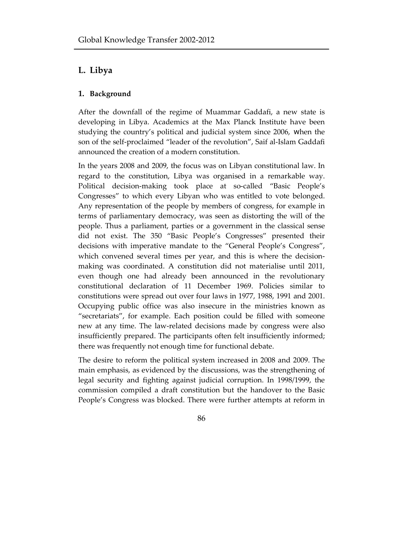# **L. Libya**

### **1. Background**

After the downfall of the regime of Muammar Gaddafi, a new state is developing in Libya. Academics at the Max Planck Institute have been studying the country's political and judicial system since 2006, when the son of the self-proclaimed "leader of the revolution", Saif al-Islam Gaddafi announced the creation of a modern constitution.

In the years 2008 and 2009, the focus was on Libyan constitutional law. In regard to the constitution, Libya was organised in a remarkable way. Political decision-making took place at so-called "Basic People's Congresses" to which every Libyan who was entitled to vote belonged. Any representation of the people by members of congress, for example in terms of parliamentary democracy, was seen as distorting the will of the people. Thus a parliament, parties or a government in the classical sense did not exist. The 350 "Basic People's Congresses" presented their decisions with imperative mandate to the "General People's Congress", which convened several times per year, and this is where the decisionmaking was coordinated. A constitution did not materialise until 2011, even though one had already been announced in the revolutionary constitutional declaration of 11 December 1969. Policies similar to constitutions were spread out over four laws in 1977, 1988, 1991 and 2001. Occupying public office was also insecure in the ministries known as "secretariats", for example. Each position could be filled with someone new at any time. The law-related decisions made by congress were also insufficiently prepared. The participants often felt insufficiently informed; there was frequently not enough time for functional debate.

The desire to reform the political system increased in 2008 and 2009. The main emphasis, as evidenced by the discussions, was the strengthening of legal security and fighting against judicial corruption. In 1998/1999, the commission compiled a draft constitution but the handover to the Basic People's Congress was blocked. There were further attempts at reform in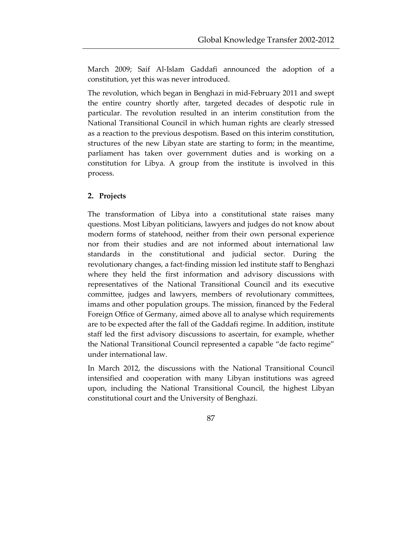March 2009; Saif Al-Islam Gaddafi announced the adoption of a constitution, yet this was never introduced.

The revolution, which began in Benghazi in mid-February 2011 and swept the entire country shortly after, targeted decades of despotic rule in particular. The revolution resulted in an interim constitution from the National Transitional Council in which human rights are clearly stressed as a reaction to the previous despotism. Based on this interim constitution, structures of the new Libyan state are starting to form; in the meantime, parliament has taken over government duties and is working on a constitution for Libya. A group from the institute is involved in this process.

### **2. Projects**

The transformation of Libya into a constitutional state raises many questions. Most Libyan politicians, lawyers and judges do not know about modern forms of statehood, neither from their own personal experience nor from their studies and are not informed about international law standards in the constitutional and judicial sector. During the revolutionary changes, a fact-finding mission led institute staff to Benghazi where they held the first information and advisory discussions with representatives of the National Transitional Council and its executive committee, judges and lawyers, members of revolutionary committees, imams and other population groups. The mission, financed by the Federal Foreign Office of Germany, aimed above all to analyse which requirements are to be expected after the fall of the Gaddafi regime. In addition, institute staff led the first advisory discussions to ascertain, for example, whether the National Transitional Council represented a capable "de facto regime" under international law.

In March 2012, the discussions with the National Transitional Council intensified and cooperation with many Libyan institutions was agreed upon, including the National Transitional Council, the highest Libyan constitutional court and the University of Benghazi.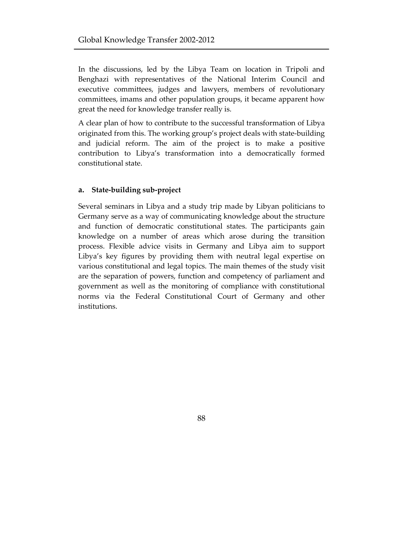In the discussions, led by the Libya Team on location in Tripoli and Benghazi with representatives of the National Interim Council and executive committees, judges and lawyers, members of revolutionary committees, imams and other population groups, it became apparent how great the need for knowledge transfer really is.

A clear plan of how to contribute to the successful transformation of Libya originated from this. The working group's project deals with state-building and judicial reform. The aim of the project is to make a positive contribution to Libya's transformation into a democratically formed constitutional state.

#### **a. State-building sub-project**

Several seminars in Libya and a study trip made by Libyan politicians to Germany serve as a way of communicating knowledge about the structure and function of democratic constitutional states. The participants gain knowledge on a number of areas which arose during the transition process. Flexible advice visits in Germany and Libya aim to support Libya's key figures by providing them with neutral legal expertise on various constitutional and legal topics. The main themes of the study visit are the separation of powers, function and competency of parliament and government as well as the monitoring of compliance with constitutional norms via the Federal Constitutional Court of Germany and other institutions.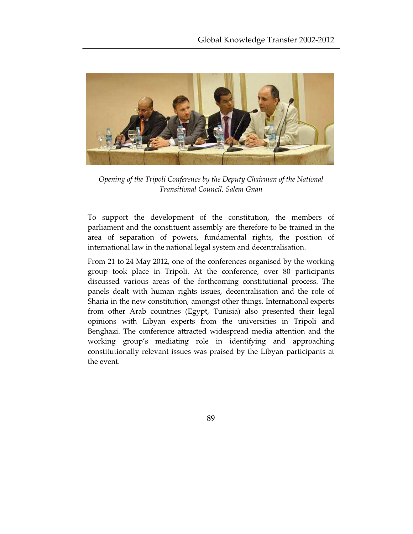

*Opening of the Tripoli Conference by the Deputy Chairman of the National Transitional Council, Salem Gnan* 

To support the development of the constitution, the members of parliament and the constituent assembly are therefore to be trained in the area of separation of powers, fundamental rights, the position of international law in the national legal system and decentralisation.

From 21 to 24 May 2012, one of the conferences organised by the working group took place in Tripoli. At the conference, over 80 participants discussed various areas of the forthcoming constitutional process. The panels dealt with human rights issues, decentralisation and the role of Sharia in the new constitution, amongst other things. International experts from other Arab countries (Egypt, Tunisia) also presented their legal opinions with Libyan experts from the universities in Tripoli and Benghazi. The conference attracted widespread media attention and the working group's mediating role in identifying and approaching constitutionally relevant issues was praised by the Libyan participants at the event.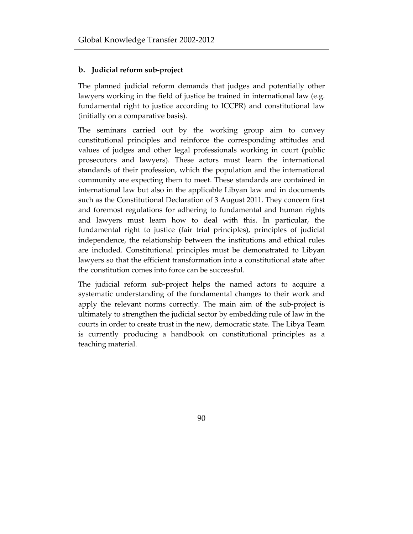#### **b. Judicial reform sub-project**

The planned judicial reform demands that judges and potentially other lawyers working in the field of justice be trained in international law (e.g. fundamental right to justice according to ICCPR) and constitutional law (initially on a comparative basis).

The seminars carried out by the working group aim to convey constitutional principles and reinforce the corresponding attitudes and values of judges and other legal professionals working in court (public prosecutors and lawyers). These actors must learn the international standards of their profession, which the population and the international community are expecting them to meet. These standards are contained in international law but also in the applicable Libyan law and in documents such as the Constitutional Declaration of 3 August 2011. They concern first and foremost regulations for adhering to fundamental and human rights and lawyers must learn how to deal with this. In particular, the fundamental right to justice (fair trial principles), principles of judicial independence, the relationship between the institutions and ethical rules are included. Constitutional principles must be demonstrated to Libyan lawyers so that the efficient transformation into a constitutional state after the constitution comes into force can be successful.

The judicial reform sub-project helps the named actors to acquire a systematic understanding of the fundamental changes to their work and apply the relevant norms correctly. The main aim of the sub-project is ultimately to strengthen the judicial sector by embedding rule of law in the courts in order to create trust in the new, democratic state. The Libya Team is currently producing a handbook on constitutional principles as a teaching material.